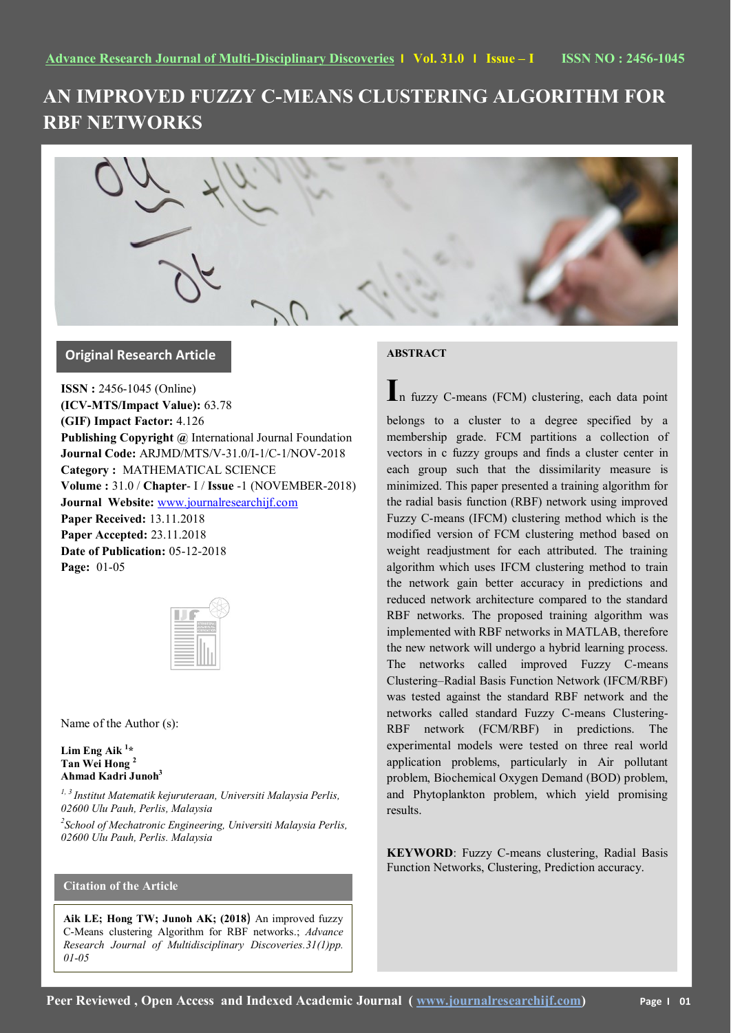# **AN IMPROVED FUZZY C-MEANS CLUSTERING ALGORITHM FOR RBF NETWORKS**



## **Original Research Article**

**ISSN :** 2456-1045 (Online) **(ICV-MTS/Impact Value):** 63.78 **(GIF) Impact Factor:** 4.126 **Publishing Copyright @** International Journal Foundation **Journal Code:** ARJMD/MTS/V-31.0/I-1/C-1/NOV-2018 **Category :** MATHEMATICAL SCIENCE **Volume :** 31.0 / **Chapter**- I / **Issue** -1 (NOVEMBER-2018) **Journal Website:** [www.journalresearchijf.com](http://www.journalresearchijf.com/) **Paper Received:** 13.11.2018 **Paper Accepted:** 23.11.2018 **Date of Publication:** 05-12-2018 **Page:** 01-05

|  | ntonutonal<br>Journal<br>Joungation |
|--|-------------------------------------|
|  |                                     |
|  |                                     |
|  |                                     |
|  |                                     |
|  |                                     |
|  |                                     |
|  |                                     |
|  |                                     |

Name of the Author (s):

**Lim Eng Aik <sup>1</sup> \* Tan Wei Hong <sup>2</sup> Ahmad Kadri Junoh<sup>3</sup>**

*1, 3 Institut Matematik kejuruteraan, Universiti Malaysia Perlis, 02600 Ulu Pauh, Perlis, Malaysia*

*2 School of Mechatronic Engineering, Universiti Malaysia Perlis, 02600 Ulu Pauh, Perlis. Malaysia* 

# **Citation of the Article**

**Aik LE; Hong TW; Junoh AK; (2018**) An improved fuzzy C-Means clustering Algorithm for RBF networks.; *Advance Research Journal of Multidisciplinary Discoveries.31(1)pp. 01-05* 

### **ABSTRACT**

**I**n fuzzy C-means (FCM) clustering, each data point

belongs to a cluster to a degree specified by a membership grade. FCM partitions a collection of vectors in c fuzzy groups and finds a cluster center in each group such that the dissimilarity measure is minimized. This paper presented a training algorithm for the radial basis function (RBF) network using improved Fuzzy C-means (IFCM) clustering method which is the modified version of FCM clustering method based on weight readjustment for each attributed. The training algorithm which uses IFCM clustering method to train the network gain better accuracy in predictions and reduced network architecture compared to the standard RBF networks. The proposed training algorithm was implemented with RBF networks in MATLAB, therefore the new network will undergo a hybrid learning process. The networks called improved Fuzzy C-means Clustering–Radial Basis Function Network (IFCM/RBF) was tested against the standard RBF network and the networks called standard Fuzzy C-means Clustering-RBF network (FCM/RBF) in predictions. The experimental models were tested on three real world application problems, particularly in Air pollutant problem, Biochemical Oxygen Demand (BOD) problem, and Phytoplankton problem, which yield promising results.

**KEYWORD**: Fuzzy C-means clustering, Radial Basis Function Networks, Clustering, Prediction accuracy.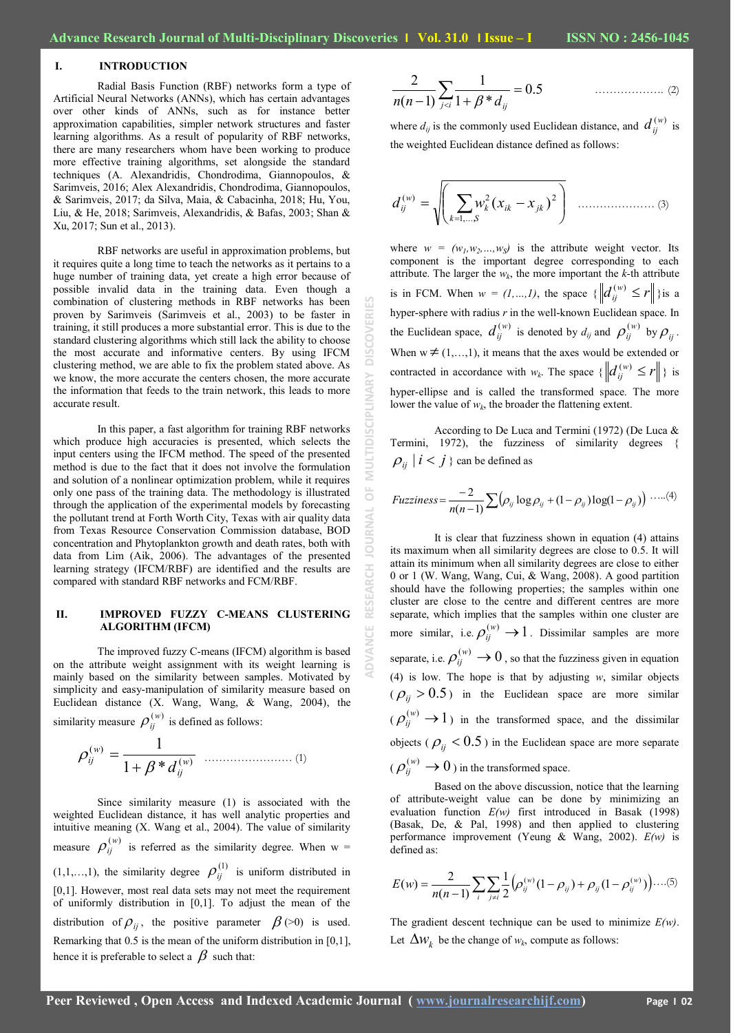## **I. INTRODUCTION**

Radial Basis Function (RBF) networks form a type of Artificial Neural Networks (ANNs), which has certain advantages over other kinds of ANNs, such as for instance better approximation capabilities, simpler network structures and faster learning algorithms. As a result of popularity of RBF networks, there are many researchers whom have been working to produce more effective training algorithms, set alongside the standard techniques (A. Alexandridis, Chondrodima, Giannopoulos, & Sarimveis, 2016; Alex Alexandridis, Chondrodima, Giannopoulos, & Sarimveis, 2017; da Silva, Maia, & Cabacinha, 2018; Hu, You, Liu, & He, 2018; Sarimveis, Alexandridis, & Bafas, 2003; Shan & Xu, 2017; Sun et al., 2013).

RBF networks are useful in approximation problems, but it requires quite a long time to teach the networks as it pertains to a huge number of training data, yet create a high error because of possible invalid data in the training data. Even though a combination of clustering methods in RBF networks has been proven by Sarimveis (Sarimveis et al., 2003) to be faster in training, it still produces a more substantial error. This is due to the standard clustering algorithms which still lack the ability to choose the most accurate and informative centers. By using IFCM clustering method, we are able to fix the problem stated above. As we know, the more accurate the centers chosen, the more accurate the information that feeds to the train network, this leads to more accurate result.

In this paper, a fast algorithm for training RBF networks which produce high accuracies is presented, which selects the input centers using the IFCM method. The speed of the presented method is due to the fact that it does not involve the formulation and solution of a nonlinear optimization problem, while it requires only one pass of the training data. The methodology is illustrated through the application of the experimental models by forecasting the pollutant trend at Forth Worth City, Texas with air quality data from Texas Resource Conservation Commission database, BOD concentration and Phytoplankton growth and death rates, both with data from Lim (Aik, 2006). The advantages of the presented learning strategy (IFCM/RBF) are identified and the results are compared with standard RBF networks and FCM/RBF.

#### **II. IMPROVED FUZZY C-MEANS CLUSTERING ALGORITHM (IFCM)**

The improved fuzzy C-means (IFCM) algorithm is based on the attribute weight assignment with its weight learning is mainly based on the similarity between samples. Motivated by simplicity and easy-manipulation of similarity measure based on Euclidean distance (X. Wang, Wang, & Wang, 2004), the

similarity measure  $\rho_{ij}^{(w)}$  is defined as follows:

( ) ( ) 1 \* 1 *w ij w ij d* …………………… (1)

Since similarity measure (1) is associated with the weighted Euclidean distance, it has well analytic properties and intuitive meaning (X. Wang et al., 2004). The value of similarity measure  $\rho_{ij}^{(w)}$  is referred as the similarity degree. When w =  $(1,1,...,1)$ , the similarity degree  $\rho_{ij}^{(1)}$  is uniform distributed in [0,1]. However, most real data sets may not meet the requirement of uniformly distribution in [0,1]. To adjust the mean of the distribution of  $\rho_{ij}$ , the positive parameter  $\beta$  (>0) is used. Remarking that 0.5 is the mean of the uniform distribution in [0,1], hence it is preferable to select a  $\beta$  such that:

$$
\frac{2}{n(n-1)}\sum_{j (2)
$$

where  $d_{ij}$  is the commonly used Euclidean distance, and  $d_{ij}^{(w)}$  is the weighted Euclidean distance defined as follows:

 *k S k ik jk w ij d w x x* 1,..., ( ) 2 2 ( ) ………………… (3)

where  $w = (w_1, w_2, ..., w_S)$  is the attribute weight vector. Its component is the important degree corresponding to each attribute. The larger the  $w_k$ , the more important the  $k$ -th attribute is in FCM. When  $w = (1, ..., 1)$ , the space  $\{ ||d_{ij}^{(w)} \le r|| \}$  is a hyper-sphere with radius *r* in the well-known Euclidean space. In the Euclidean space,  $d_{ij}^{(w)}$  is denoted by  $d_{ij}$  and  $p_{ij}^{(w)}$  by  $p_{ij}$ . When  $w \neq (1,...,1)$ , it means that the axes would be extended or contracted in accordance with  $w_k$ . The space  $\{ ||d_{ij}^{(w)} \le r|| \}$  is hyper-ellipse and is called the transformed space. The more lower the value of  $w_k$ , the broader the flattening extent.

According to De Luca and Termini (1972) (De Luca & Termini, 1972), the fuzziness of similarity degrees {  $\rho_{ij}$  |  $i < j$  } can be defined as

*Fuzziness* = 
$$
\frac{-2}{n(n-1)} \sum \left( \rho_{ij} \log \rho_{ij} + (1 - \rho_{ij}) \log(1 - \rho_{ij}) \right) \cdot \dots (4)
$$

It is clear that fuzziness shown in equation (4) attains its maximum when all similarity degrees are close to 0.5. It will attain its minimum when all similarity degrees are close to either 0 or 1 (W. Wang, Wang, Cui, & Wang, 2008). A good partition should have the following properties; the samples within one cluster are close to the centre and different centres are more separate, which implies that the samples within one cluster are more similar, i.e.  $\rho_{ij}^{(w)} \rightarrow 1$ . Dissimilar samples are more separate, i.e.  $\rho_{ij}^{(w)} \to 0$ , so that the fuzziness given in equation (4) is low. The hope is that by adjusting *w*, similar objects  $(\rho_{ij} > 0.5)$  in the Euclidean space are more similar  $(\rho_{ij}^{(w)} \rightarrow 1)$  in the transformed space, and the dissimilar objects ( $\rho_{ij}$  < 0.5) in the Euclidean space are more separate  $(\rho_{ij}^{(w)} \to 0)$  in the transformed space.

Based on the above discussion, notice that the learning of attribute-weight value can be done by minimizing an evaluation function *E(w)* first introduced in Basak (1998) (Basak, De, & Pal, 1998) and then applied to clustering performance improvement (Yeung & Wang, 2002). *E(w)* is defined as:

$$
E(w) = \frac{2}{n(n-1)} \sum_{i} \sum_{j \neq i} \frac{1}{2} \Big( \rho_{ij}^{(w)} (1 - \rho_{ij}) + \rho_{ij} (1 - \rho_{ij}^{(w)}) \Big) \dots (5)
$$

The gradient descent technique can be used to minimize *E(w)*. Let  $\Delta w_k$  be the change of  $w_k$ , compute as follows:

**ADVANCE RESEARCH JOURNAL OF MULTIDISCIPLINARY DISCOVERIES**

ŏ

**ADVANCE** 

MULTIDISCIPI

ERIES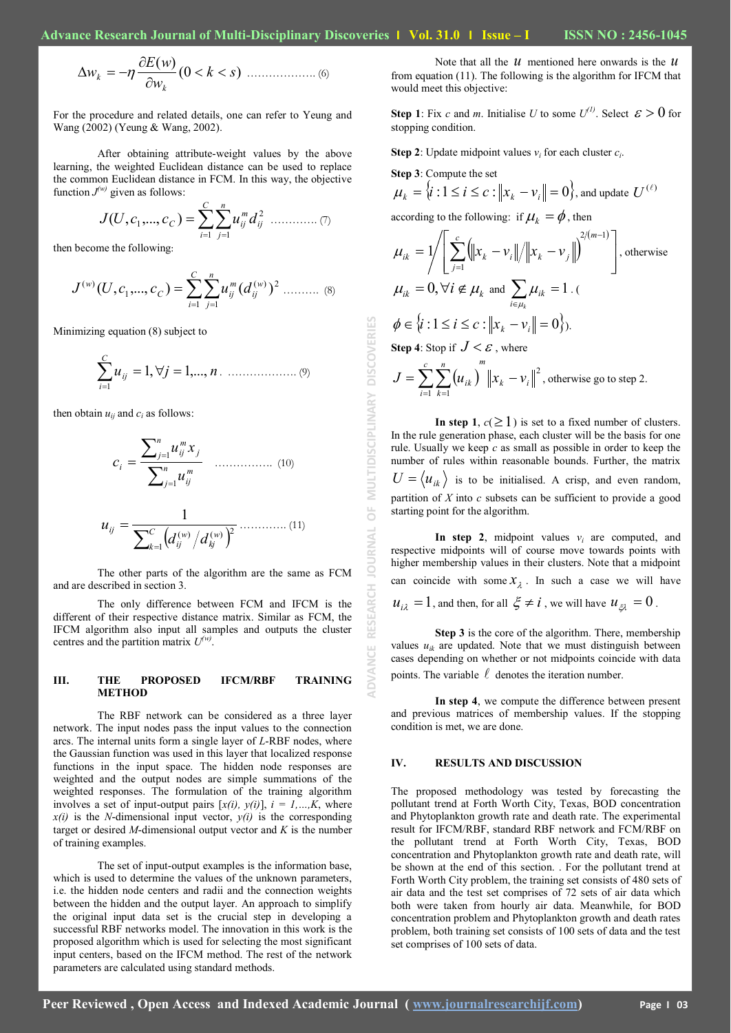(0 ) ( ) *k s w E w w k <sup>k</sup>* ………………. (6)

For the procedure and related details, one can refer to Yeung and Wang (2002) (Yeung & Wang, 2002).

After obtaining attribute-weight values by the above learning, the weighted Euclidean distance can be used to replace the common Euclidean distance in FCM. In this way, the objective function  $J^{(w)}$  given as follows:

 *C i n j ij m J U c c<sup>C</sup> uij d* 1 1 2 1 ( , ,..., ) …………. (7)

then become the following:

 *C i n j w ij m C ij w J U c c u d* 1 1 ( ) 2 1 ( ) ( , ,..., ) ( ) ………. (8)

Minimizing equation (8) subject to

*u j n C i ij* 1, 1,..., 1 . ………………. (9)

then obtain  $u_{ii}$  and  $c_i$  as follows:

$$
c_{i} = \frac{\sum_{j=1}^{n} u_{ij}^{m} x_{j}}{\sum_{j=1}^{n} u_{ij}^{m}}
$$
 (10)  

$$
u_{ij} = \frac{1}{\sum_{k=1}^{C} (d_{ij}^{(w)}/d_{kj}^{(w)})^{2}}
$$
 (11)

The other parts of the algorithm are the same as FCM and are described in section 3.

The only difference between FCM and IFCM is the different of their respective distance matrix. Similar as FCM, the IFCM algorithm also input all samples and outputs the cluster centres and the partition matrix  $U^{(w)}$ .

#### **III. THE PROPOSED IFCM/RBF TRAINING METHOD**

The RBF network can be considered as a three layer network. The input nodes pass the input values to the connection arcs. The internal units form a single layer of *L*-RBF nodes, where the Gaussian function was used in this layer that localized response functions in the input space. The hidden node responses are weighted and the output nodes are simple summations of the weighted responses. The formulation of the training algorithm involves a set of input-output pairs  $[x(i), y(i)]$ ,  $i = 1,...,K$ , where  $x(i)$  is the *N*-dimensional input vector,  $y(i)$  is the corresponding target or desired *M*-dimensional output vector and *K* is the number of training examples.

The set of input-output examples is the information base, which is used to determine the values of the unknown parameters, i.e. the hidden node centers and radii and the connection weights between the hidden and the output layer. An approach to simplify the original input data set is the crucial step in developing a successful RBF networks model. The innovation in this work is the proposed algorithm which is used for selecting the most significant input centers, based on the IFCM method. The rest of the network parameters are calculated using standard methods.

Note that all the  $u$  mentioned here onwards is the  $u$ from equation (11). The following is the algorithm for IFCM that would meet this objective:

**Step 1**: Fix *c* and *m*. Initialise *U* to some  $U^{(1)}$ . Select  $\varepsilon > 0$  for stopping condition.

**Step 2**: Update midpoint values  $v_i$  for each cluster  $c_i$ .

Step 3. Compute the set  

$$
\mu_k = \{i : 1 \le i \le c : ||x_k - v_i|| = 0\}
$$
, and update  $U^{(\ell)}$ 

according to the following: if  $\mu_k = \phi$ , then

**Step 3**: Compute the set

 $-1 \; k=1$ 

**ADVANCE RESEARCH JOURNAL OF MULTIDISCIPLINARY DISCOVERIES**

 $\frac{1}{\sqrt{2}}$ 

**JOURNAL** 

RESEARCH

ADVANCE

MULTIDISCIPLINARY

**DISCOVERIES** 

$$
\mu_{ik} = 1/\left[\sum_{j=1}^{c} \left(\left\|x_k - v_i\right\|/\left\|x_k - v_j\right\|\right)^{2/(m-1)}\right], \text{ otherwise}
$$
\n
$$
\mu_{ik} = 0, \forall i \notin \mu_k \text{ and } \sum_{i \in \mu_k} \mu_{ik} = 1.
$$
\n
$$
\phi \in \left\{i : 1 \le i \le c : \left\|x_k - v_i\right\| = 0\right\}.
$$
\nStep 4: Stop if  $J < \varepsilon$ , where\n
$$
J = \sum_{i=1}^{c} \sum_{k=1}^{n} \left(u_{ik}\right)^{m} \left\|x_k - v_i\right\|^2, \text{ otherwise go to step 2.}
$$

**In step 1**,  $c(\geq 1)$  is set to a fixed number of clusters. In the rule generation phase, each cluster will be the basis for one rule. Usually we keep *c* as small as possible in order to keep the number of rules within reasonable bounds. Further, the matrix  $U = \langle u_{ik} \rangle$  is to be initialised. A crisp, and even random, partition of *X* into *c* subsets can be sufficient to provide a good starting point for the algorithm.

In step 2, midpoint values  $v_i$  are computed, and respective midpoints will of course move towards points with higher membership values in their clusters. Note that a midpoint can coincide with some  $x_{\lambda}$ . In such a case we will have  $u_{i\lambda} = 1$ , and then, for all  $\xi \neq i$ , we will have  $u_{\xi\lambda} = 0$ .

**Step 3** is the core of the algorithm. There, membership values  $u_{ik}$  are updated. Note that we must distinguish between cases depending on whether or not midpoints coincide with data points. The variable  $\ell$  denotes the iteration number.

**In step 4**, we compute the difference between present and previous matrices of membership values. If the stopping condition is met, we are done.

#### **IV. RESULTS AND DISCUSSION**

The proposed methodology was tested by forecasting the pollutant trend at Forth Worth City, Texas, BOD concentration and Phytoplankton growth rate and death rate. The experimental result for IFCM/RBF, standard RBF network and FCM/RBF on the pollutant trend at Forth Worth City, Texas, BOD concentration and Phytoplankton growth rate and death rate, will be shown at the end of this section. . For the pollutant trend at Forth Worth City problem, the training set consists of 480 sets of air data and the test set comprises of 72 sets of air data which both were taken from hourly air data. Meanwhile, for BOD concentration problem and Phytoplankton growth and death rates problem, both training set consists of 100 sets of data and the test set comprises of 100 sets of data.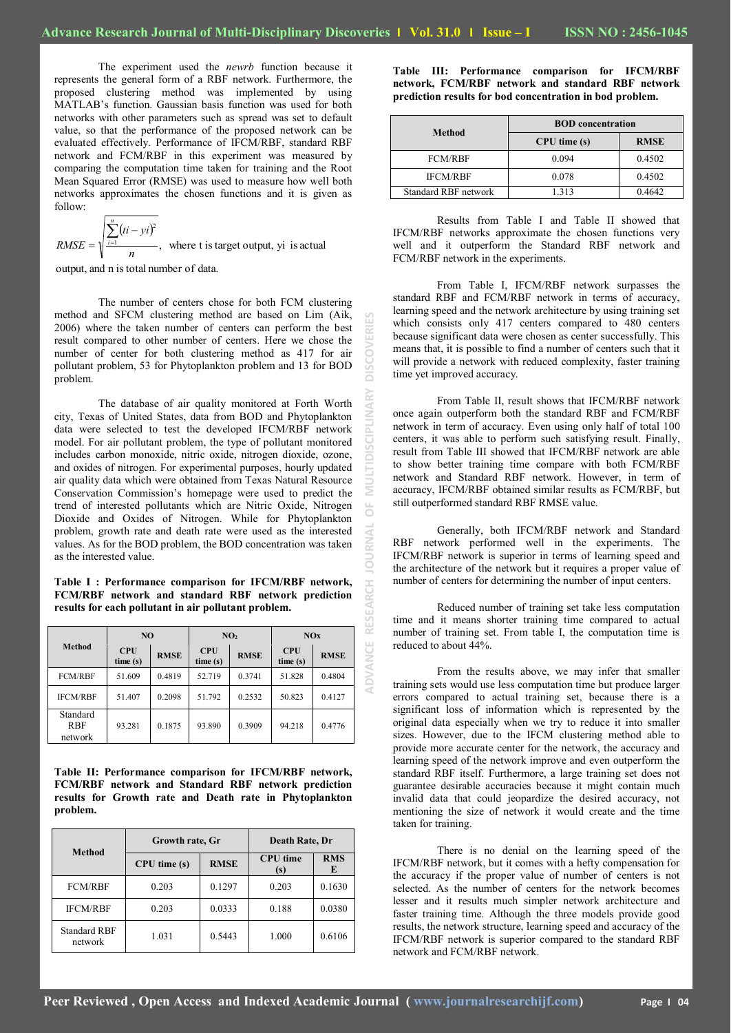**ADVANCE RESEARCH JOURNAL OF MULTIDISCIPLINARY DISCOVERIES**

 $\overline{0}$ 

RN.  $\geq$ 

RESEARCH

**ADVANCE** 

ō

**DISCOV** 

The experiment used the *newrb* function because it represents the general form of a RBF network. Furthermore, the proposed clustering method was implemented by using MATLAB's function. Gaussian basis function was used for both networks with other parameters such as spread was set to default value, so that the performance of the proposed network can be evaluated effectively. Performance of IFCM/RBF, standard RBF network and FCM/RBF in this experiment was measured by comparing the computation time taken for training and the Root Mean Squared Error (RMSE) was used to measure how well both networks approximates the chosen functions and it is given as follow:

 $(ii - yi)^2$  $\frac{1}{1}$ , where t is target output, yi is actual 2 *n*  $ti - yi$ *RMSE n*  $\sum_{i=1}^{n} (ti =$ 

output, and n is total number of data.

The number of centers chose for both FCM clustering method and SFCM clustering method are based on Lim (Aik, 2006) where the taken number of centers can perform the best result compared to other number of centers. Here we chose the number of center for both clustering method as 417 for air pollutant problem, 53 for Phytoplankton problem and 13 for BOD problem.

The database of air quality monitored at Forth Worth city, Texas of United States, data from BOD and Phytoplankton data were selected to test the developed IFCM/RBF network model. For air pollutant problem, the type of pollutant monitored includes carbon monoxide, nitric oxide, nitrogen dioxide, ozone, and oxides of nitrogen. For experimental purposes, hourly updated air quality data which were obtained from Texas Natural Resource Conservation Commission's homepage were used to predict the trend of interested pollutants which are Nitric Oxide, Nitrogen Dioxide and Oxides of Nitrogen. While for Phytoplankton problem, growth rate and death rate were used as the interested values. As for the BOD problem, the BOD concentration was taken as the interested value.

**Table I : Performance comparison for IFCM/RBF network, FCM/RBF network and standard RBF network prediction results for each pollutant in air pollutant problem.**

|                            | N <sub>O</sub>        |             | NO <sub>2</sub>       |             | NOx                   |             |
|----------------------------|-----------------------|-------------|-----------------------|-------------|-----------------------|-------------|
| <b>Method</b>              | <b>CPU</b><br>time(s) | <b>RMSE</b> | <b>CPU</b><br>time(s) | <b>RMSE</b> | <b>CPU</b><br>time(s) | <b>RMSE</b> |
| <b>FCM/RBF</b>             | 51.609                | 0.4819      | 52.719                | 0.3741      | 51.828                | 0.4804      |
| <b>IFCM/RBF</b>            | 51.407                | 0.2098      | 51.792                | 0.2532      | 50.823                | 0.4127      |
| Standard<br>RBF<br>network | 93.281                | 0.1875      | 93.890                | 0.3909      | 94.218                | 0.4776      |

**Table II: Performance comparison for IFCM/RBF network, FCM/RBF network and Standard RBF network prediction results for Growth rate and Death rate in Phytoplankton problem.**

|                                | Growth rate, Gr  |             | Death Rate, Dr         |                 |
|--------------------------------|------------------|-------------|------------------------|-----------------|
| <b>Method</b>                  | $CPU$ time $(s)$ | <b>RMSE</b> | <b>CPU</b> time<br>(s) | <b>RMS</b><br>E |
| <b>FCM/RBF</b>                 | 0.203            | 0.1297      | 0.203                  | 0.1630          |
| <b>IFCM/RBF</b>                | 0.203            | 0.0333      | 0.188                  | 0.0380          |
| <b>Standard RBF</b><br>network | 1.031            | 0.5443      | 1.000                  | 0.6106          |

**Table III: Performance comparison for IFCM/RBF network, FCM/RBF network and standard RBF network prediction results for bod concentration in bod problem.**

|                      | <b>BOD</b> concentration |             |  |  |
|----------------------|--------------------------|-------------|--|--|
| Method               | $CPU$ time $(s)$         | <b>RMSE</b> |  |  |
| <b>FCM/RBF</b>       | 0.094                    | 0.4502      |  |  |
| <b>IFCM/RBF</b>      | 0.078                    | 0.4502      |  |  |
| Standard RBF network | 313                      | 0.4642      |  |  |

Results from Table I and Table II showed that IFCM/RBF networks approximate the chosen functions very well and it outperform the Standard RBF network and FCM/RBF network in the experiments.

From Table I, IFCM/RBF network surpasses the standard RBF and FCM/RBF network in terms of accuracy, learning speed and the network architecture by using training set which consists only 417 centers compared to 480 centers because significant data were chosen as center successfully. This means that, it is possible to find a number of centers such that it will provide a network with reduced complexity, faster training time yet improved accuracy.

From Table II, result shows that IFCM/RBF network once again outperform both the standard RBF and FCM/RBF network in term of accuracy. Even using only half of total 100 centers, it was able to perform such satisfying result. Finally, result from Table III showed that IFCM/RBF network are able to show better training time compare with both FCM/RBF network and Standard RBF network. However, in term of accuracy, IFCM/RBF obtained similar results as FCM/RBF, but still outperformed standard RBF RMSE value.

Generally, both IFCM/RBF network and Standard RBF network performed well in the experiments. The IFCM/RBF network is superior in terms of learning speed and the architecture of the network but it requires a proper value of number of centers for determining the number of input centers.

Reduced number of training set take less computation time and it means shorter training time compared to actual number of training set. From table I, the computation time is reduced to about 44%.

From the results above, we may infer that smaller training sets would use less computation time but produce larger errors compared to actual training set, because there is a significant loss of information which is represented by the original data especially when we try to reduce it into smaller sizes. However, due to the IFCM clustering method able to provide more accurate center for the network, the accuracy and learning speed of the network improve and even outperform the standard RBF itself. Furthermore, a large training set does not guarantee desirable accuracies because it might contain much invalid data that could jeopardize the desired accuracy, not mentioning the size of network it would create and the time taken for training.

There is no denial on the learning speed of the IFCM/RBF network, but it comes with a hefty compensation for the accuracy if the proper value of number of centers is not selected. As the number of centers for the network becomes lesser and it results much simpler network architecture and faster training time. Although the three models provide good results, the network structure, learning speed and accuracy of the IFCM/RBF network is superior compared to the standard RBF network and FCM/RBF network.